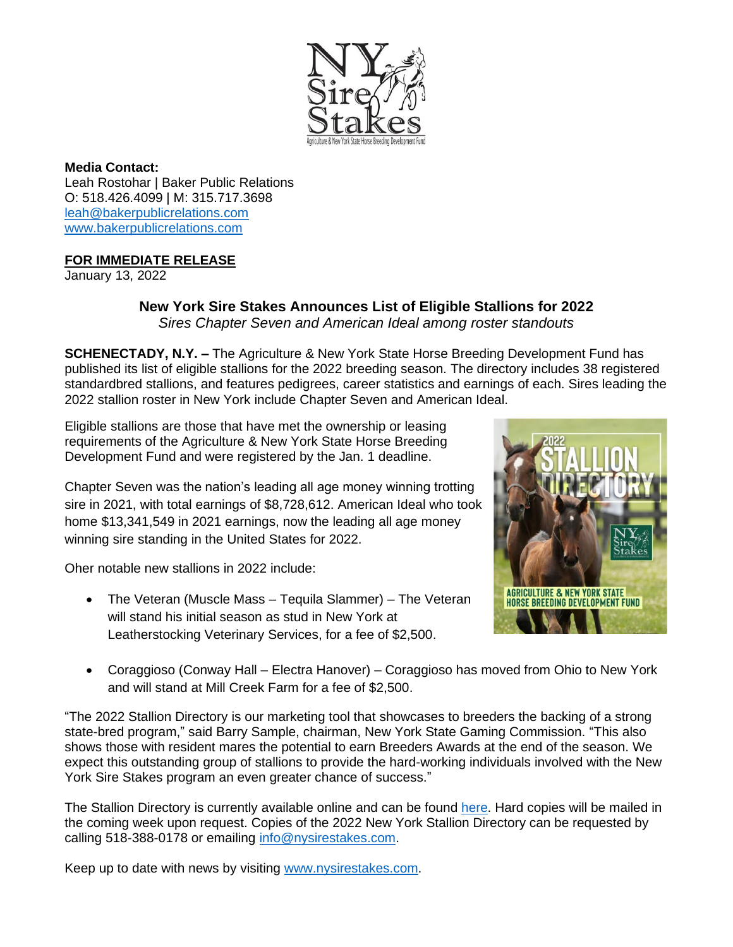

**Media Contact:** Leah Rostohar | Baker Public Relations O: 518.426.4099 | M: 315.717.3698 [leah@bakerpublicrelations.com](mailto:leah@bakerpublicrelations.com) [www.bakerpublicrelations.com](http://www.bakerpublicrelations.com/)

## **FOR IMMEDIATE RELEASE**

January 13, 2022

## **New York Sire Stakes Announces List of Eligible Stallions for 2022** *Sires Chapter Seven and American Ideal among roster standouts*

**SCHENECTADY, N.Y. –** The Agriculture & New York State Horse Breeding Development Fund has published its list of eligible stallions for the 2022 breeding season. The directory includes 38 registered standardbred stallions, and features pedigrees, career statistics and earnings of each. Sires leading the 2022 stallion roster in New York include Chapter Seven and American Ideal.

Eligible stallions are those that have met the ownership or leasing requirements of the Agriculture & New York State Horse Breeding Development Fund and were registered by the Jan. 1 deadline.

Chapter Seven was the nation's leading all age money winning trotting sire in 2021, with total earnings of \$8,728,612. American Ideal who took home \$13,341,549 in 2021 earnings, now the leading all age money winning sire standing in the United States for 2022.

Oher notable new stallions in 2022 include:

• The Veteran (Muscle Mass – Tequila Slammer) – The Veteran will stand his initial season as stud in New York at Leatherstocking Veterinary Services, for a fee of \$2,500.



• Coraggioso (Conway Hall – Electra Hanover) – Coraggioso has moved from Ohio to New York and will stand at Mill Creek Farm for a fee of \$2,500.

"The 2022 Stallion Directory is our marketing tool that showcases to breeders the backing of a strong state-bred program," said Barry Sample, chairman, New York State Gaming Commission. "This also shows those with resident mares the potential to earn Breeders Awards at the end of the season. We expect this outstanding group of stallions to provide the hard-working individuals involved with the New York Sire Stakes program an even greater chance of success."

The Stallion Directory is currently available online and can be found [here.](https://nysirestakes.com/backend/News/news_upload/NYSS_2022_Stallion_Directory_Final_Web__2__1559.pdf) Hard copies will be mailed in the coming week upon request. Copies of the 2022 New York Stallion Directory can be requested by calling 518-388-0178 or emailing [info@nysirestakes.com.](mailto:info@nysirestakes.com)

Keep up to date with news by visiting [www.nysirestakes.com.](http://www.nysirestakes.com/)